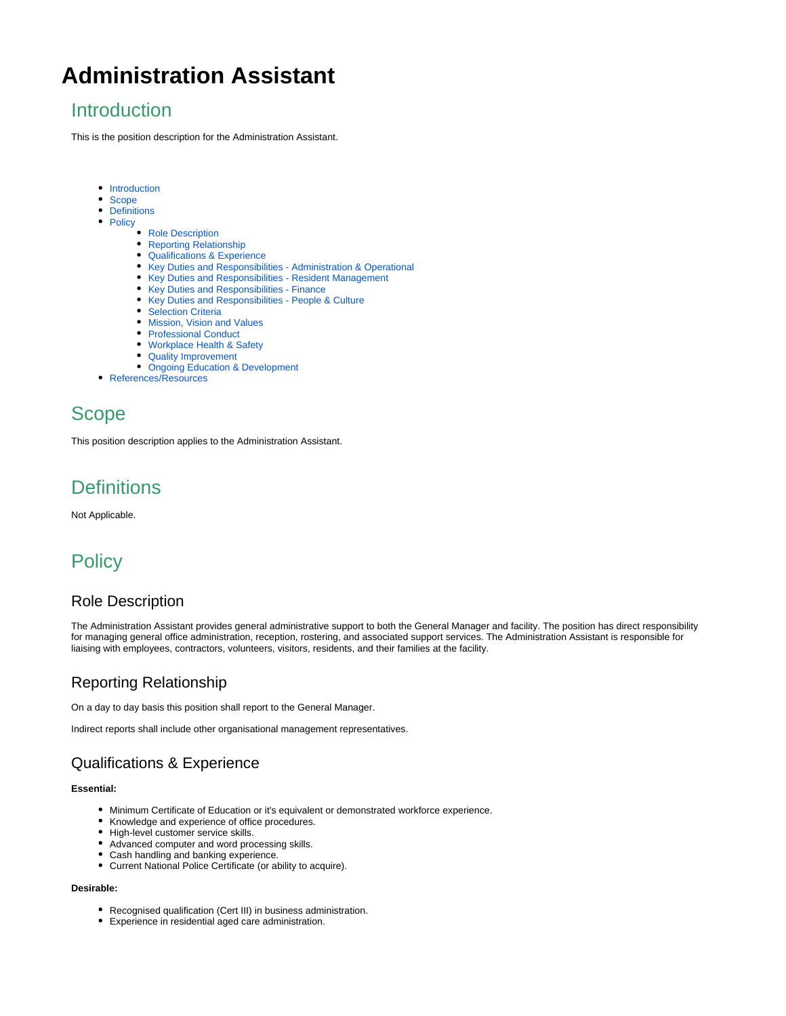# **Administration Assistant**

### <span id="page-0-0"></span>Introduction

This is the position description for the Administration Assistant.

- [Introduction](#page-0-0)
- [Scope](#page-0-1)
- [Definitions](#page-0-2)
- [Policy](#page-0-3)
	- [Role Description](#page-0-4)
	- [Reporting Relationship](#page-0-5)
	- [Qualifications & Experience](#page-0-6)
	- [Key Duties and Responsibilities Administration & Operational](#page-0-7)
	- [Key Duties and Responsibilities Resident Management](#page-1-0)
	- [Key Duties and Responsibilities Finance](#page-1-1)
	- [Key Duties and Responsibilities People & Culture](#page-1-2)
	- [Selection Criteria](#page-1-3)
	- [Mission, Vision and Values](#page-1-4)
	- [Professional Conduct](#page-1-5)
	- [Workplace Health & Safety](#page-2-0)
	- [Quality Improvement](#page-2-1)
	- [Ongoing Education & Development](#page-2-2)
- [References/Resources](#page-2-3)

### <span id="page-0-1"></span>Scope

This position description applies to the Administration Assistant.

## <span id="page-0-2"></span>**Definitions**

Not Applicable.

## <span id="page-0-3"></span>**Policy**

#### <span id="page-0-4"></span>Role Description

The Administration Assistant provides general administrative support to both the General Manager and facility. The position has direct responsibility for managing general office administration, reception, rostering, and associated support services. The Administration Assistant is responsible for liaising with employees, contractors, volunteers, visitors, residents, and their families at the facility.

### <span id="page-0-5"></span>Reporting Relationship

On a day to day basis this position shall report to the General Manager.

Indirect reports shall include other organisational management representatives.

#### <span id="page-0-6"></span>Qualifications & Experience

#### **Essential:**

- Minimum Certificate of Education or it's equivalent or demonstrated workforce experience.
- Knowledge and experience of office procedures.
- High-level customer service skills.
- Advanced computer and word processing skills.
- Cash handling and banking experience.
- Current National Police Certificate (or ability to acquire).

#### <span id="page-0-7"></span>**Desirable:**

- Recognised qualification (Cert III) in business administration.
- Experience in residential aged care administration.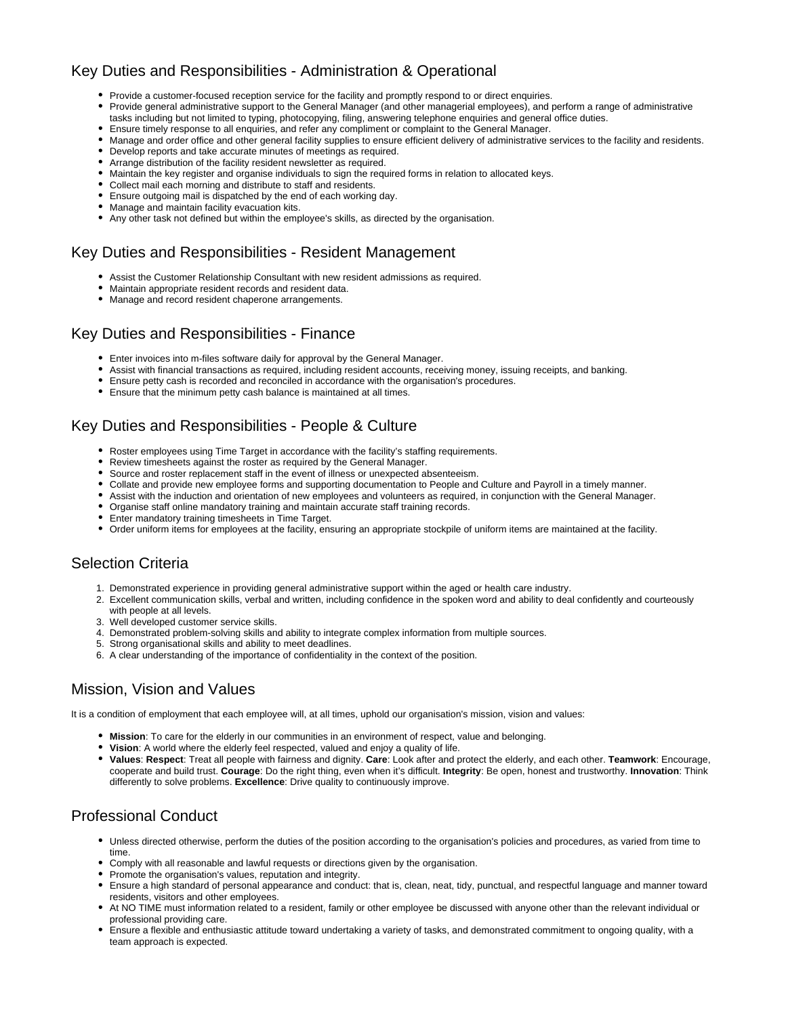### Key Duties and Responsibilities - Administration & Operational

- Provide a customer-focused reception service for the facility and promptly respond to or direct enquiries.
- Provide general administrative support to the General Manager (and other managerial employees), and perform a range of administrative tasks including but not limited to typing, photocopying, filing, answering telephone enquiries and general office duties.
- Ensure timely response to all enquiries, and refer any compliment or complaint to the General Manager.
- Manage and order office and other general facility supplies to ensure efficient delivery of administrative services to the facility and residents.
- Develop reports and take accurate minutes of meetings as required.
- Arrange distribution of the facility resident newsletter as required.
- Maintain the key register and organise individuals to sign the required forms in relation to allocated keys.
- Collect mail each morning and distribute to staff and residents.
- Ensure outgoing mail is dispatched by the end of each working day.
- Manage and maintain facility evacuation kits.
- Any other task not defined but within the employee's skills, as directed by the organisation.

#### <span id="page-1-0"></span>Key Duties and Responsibilities - Resident Management

- Assist the Customer Relationship Consultant with new resident admissions as required.
- Maintain appropriate resident records and resident data.
- Manage and record resident chaperone arrangements.

#### <span id="page-1-1"></span>Key Duties and Responsibilities - Finance

- Enter invoices into m-files software daily for approval by the General Manager.
- Assist with financial transactions as required, including resident accounts, receiving money, issuing receipts, and banking.
- Ensure petty cash is recorded and reconciled in accordance with the organisation's procedures.
- Ensure that the minimum petty cash balance is maintained at all times.

#### <span id="page-1-2"></span>Key Duties and Responsibilities - People & Culture

- Roster employees using Time Target in accordance with the facility's staffing requirements.
- Review timesheets against the roster as required by the General Manager.
- Source and roster replacement staff in the event of illness or unexpected absenteeism.
- Collate and provide new employee forms and supporting documentation to People and Culture and Payroll in a timely manner.
- Assist with the induction and orientation of new employees and volunteers as required, in conjunction with the General Manager.
- Organise staff online mandatory training and maintain accurate staff training records.
- Enter mandatory training timesheets in Time Target.
- Order uniform items for employees at the facility, ensuring an appropriate stockpile of uniform items are maintained at the facility.

#### <span id="page-1-3"></span>Selection Criteria

- 1. Demonstrated experience in providing general administrative support within the aged or health care industry.
- 2. Excellent communication skills, verbal and written, including confidence in the spoken word and ability to deal confidently and courteously with people at all levels.
- 3. Well developed customer service skills.
- 4. Demonstrated problem-solving skills and ability to integrate complex information from multiple sources.
- 5. Strong organisational skills and ability to meet deadlines.
- 6. A clear understanding of the importance of confidentiality in the context of the position.

#### <span id="page-1-4"></span>Mission, Vision and Values

It is a condition of employment that each employee will, at all times, uphold our organisation's mission, vision and values:

- **Mission**: To care for the elderly in our communities in an environment of respect, value and belonging.
- **Vision**: A world where the elderly feel respected, valued and enjoy a quality of life.
- **Values**: **Respect**: Treat all people with fairness and dignity. **Care**: Look after and protect the elderly, and each other. **Teamwork**: Encourage, cooperate and build trust. **Courage**: Do the right thing, even when it's difficult. **Integrity**: Be open, honest and trustworthy. **Innovation**: Think differently to solve problems. **Excellence**: Drive quality to continuously improve.

#### <span id="page-1-5"></span>Professional Conduct

- Unless directed otherwise, perform the duties of the position according to the organisation's policies and procedures, as varied from time to time.
- Comply with all reasonable and lawful requests or directions given by the organisation.
- Promote the organisation's values, reputation and integrity.
- Ensure a high standard of personal appearance and conduct: that is, clean, neat, tidy, punctual, and respectful language and manner toward residents, visitors and other employees.
- At NO TIME must information related to a resident, family or other employee be discussed with anyone other than the relevant individual or professional providing care.
- Ensure a flexible and enthusiastic attitude toward undertaking a variety of tasks, and demonstrated commitment to ongoing quality, with a team approach is expected.